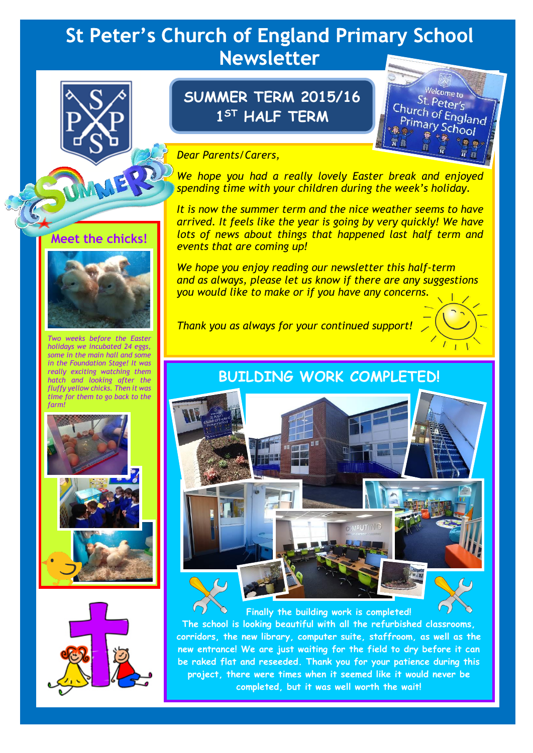# **St Peter's Church of England Primary School Newsletter**



## **Meet the chicks!**



*Two weeks before the Easter holidays we incubated 24 eggs, some in the main hall and some in the Foundation Stage! It was really exciting watching them hatch and looking after the fluffy yellow chicks. Then it was time for them to go back to the farm!*





# **SUMMER TERM 2015/16 1 ST HALF TERM**

Welcome to St. Peter's Church of England<br>Primary Saland Primary School

#### *Dear Parents/Carers,*

*We hope you had a really lovely Easter break and enjoyed spending time with your children during the week's holiday.*

*It is now the summer term and the nice weather seems to have arrived. It feels like the year is going by very quickly! We have lots of news about things that happened last half term and events that are coming up!*

*We hope you enjoy reading our newsletter this half-term and as always, please let us know if there are any suggestions you would like to make or if you have any concerns.*

*Thank you as always for your continued support!*

## **BUILDING WORK COMPLETED!**



**Finally the building work is completed! The school is looking beautiful with all the refurbished classrooms, corridors, the new library, computer suite, staffroom, as well as the new entrance! We are just waiting for the field to dry before it can be raked flat and reseeded. Thank you for your patience during this project, there were times when it seemed like it would never be completed, but it was well worth the wait!**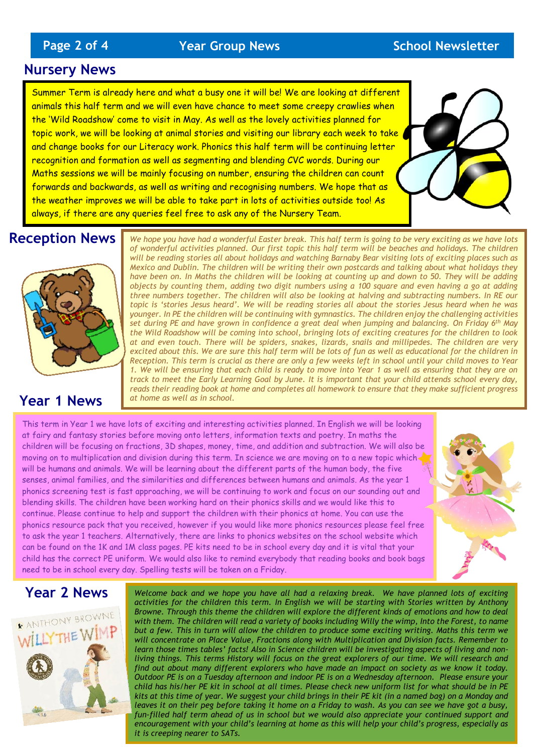#### **Nursery News**

Summer Term is already here and what a busy one it will be! We are looking at different animals this half term and we will even have chance to meet some creepy crawlies when the 'Wild Roadshow' come to visit in May. As well as the lovely activities planned for topic work, we will be looking at animal stories and visiting our library each week to take and change books for our Literacy work. Phonics this half term will be continuing letter recognition and formation as well as segmenting and blending CVC words. During our Maths sessions we will be mainly focusing on number, ensuring the children can count forwards and backwards, as well as writing and recognising numbers. We hope that as the weather improves we will be able to take part in lots of activities outside too! As always, if there are any queries feel free to ask any of the Nursery Team.

## **Reception News**



### **Year 1 News**

*We hope you have had a wonderful Easter break. This half term is going to be very exciting as we have lots of wonderful activities planned. Our first topic this half term will be beaches and holidays. The children will be reading stories all about holidays and watching Barnaby Bear visiting lots of exciting places such as Mexico and Dublin. The children will be writing their own postcards and talking about what holidays they have been on. In Maths the children will be looking at counting up and down to 50. They will be adding objects by counting them, adding two digit numbers using a 100 square and even having a go at adding three numbers together. The children will also be looking at halving and subtracting numbers. In RE our topic is 'stories Jesus heard'. We will be reading stories all about the stories Jesus heard when he was younger. In PE the children will be continuing with gymnastics. The children enjoy the challenging activities set during PE and have grown in confidence a great deal when jumping and balancing. On Friday 6th May the Wild Roadshow will be coming into school, bringing lots of exciting creatures for the children to look at and even touch. There will be spiders, snakes, lizards, snails and millipedes. The children are very*  excited about this. We are sure this half term will be lots of fun as well as educational for the children in *Reception. This term is crucial as there are only a few weeks left in school until your child moves to Year 1. We will be ensuring that each child is ready to move into Year 1 as well as ensuring that they are on track to meet the Early Learning Goal by June. It is important that your child attends school every day, reads their reading book at home and completes all homework to ensure that they make sufficient progress at home as well as in school.*

This term in Year 1 we have lots of exciting and interesting activities planned. In English we will be looking at fairy and fantasy stories before moving onto letters, information texts and poetry. In maths the children will be focusing on fractions, 3D shapes, money, time, and addition and subtraction. We will also be moving on to multiplication and division during this term. In science we are moving on to a new topic which will be humans and animals. We will be learning about the different parts of the human body, the five senses, animal families, and the similarities and differences between humans and animals. As the year 1 phonics screening test is fast approaching, we will be continuing to work and focus on our sounding out and blending skills. The children have been working hard on their phonics skills and we would like this to continue. Please continue to help and support the children with their phonics at home. You can use the phonics resource pack that you received, however if you would like more phonics resources please feel free to ask the year 1 teachers. Alternatively, there are links to phonics websites on the school website which can be found on the 1K and 1M class pages. PE kits need to be in school every day and it is vital that your child has the correct PE uniform. We would also like to remind everybody that reading books and book bags need to be in school every day. Spelling tests will be taken on a Friday.

## **Year 2 News**



Welcome back and we hope you have all had a relaxing break. We have planned lots of exciting *activities for the children this term. In English we will be starting with Stories written by Anthony Browne. Through this theme the children will explore the different kinds of emotions and how to deal with them. The children will read a variety of books including Willy the wimp, Into the Forest, to name but a few. This in turn will allow the children to produce some exciting writing. Maths this term we will concentrate on Place Value, Fractions along with Multiplication and Division facts. Remember to learn those times tables' facts! Also in Science children will be investigating aspects of living and nonliving things. This terms History will focus on the great explorers of our time. We will research and find out about many different explorers who have made an impact on society as we know it today. Outdoor PE is on a Tuesday afternoon and indoor PE is on a Wednesday afternoon. Please ensure your child has his/her PE kit in school at all times. Please check new uniform list for what should be in PE kits at this time of year. We suggest your child brings in their PE kit (in a named bag) on a Monday and leaves it on their peg before taking it home on a Friday to wash. As you can see we have got a busy,*  fun-filled half term ahead of us in school but we would also appreciate your continued support and *encouragement with your child's learning at home as this will help your child's progress, especially as it is creeping nearer to SATs.*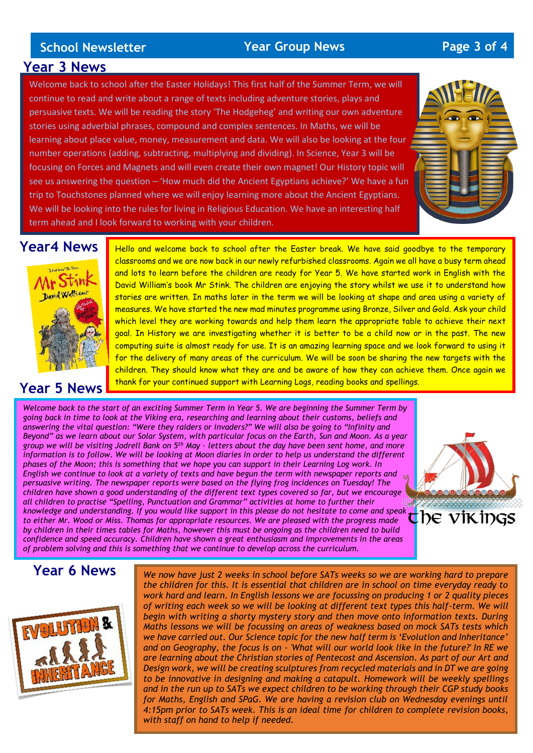#### **School Newsletter Year Group News Page 3 of 4**

#### **Year 3 News**

Welcome back to school after the Easter Holidays! This first half of the Summer Term, we will continue to read and write about a range of texts including adventure stories, plays and persuasive texts. We will be reading the story 'The Hodgeheg' and writing our own adventure stories using adverbial phrases, compound and complex sentences. In Maths, we will be learning about place value, money, measurement and data. We will also be looking at the four number operations (adding, subtracting, multiplying and dividing). In Science, Year 3 will be focusing on Forces and Magnets and will even create their own magnet! Our History topic will see us answering the question – 'How much did the Ancient Egyptians achieve?' We have a fun trip to Touchstones planned where we will enjoy learning more about the Ancient Egyptians. We will be looking into the rules for living in Religious Education. We have an interesting half term ahead and I look forward to working with your children.



## **Year4 News**



#### **Year 5 News**

Hello and welcome back to school after the Easter break. We have said goodbye to the temporary classrooms and we are now back in our newly refurbished classrooms. Again we all have a busy term ahead and lots to learn before the children are ready for Year 5. We have started work in English with the David William's book Mr Stink. The children are enjoying the story whilst we use it to understand how stories are written. In maths later in the term we will be looking at shape and area using a variety of measures. We have started the new mad minutes programme using Bronze, Silver and Gold. Ask your child which level they are working towards and help them learn the appropriate table to achieve their next goal. In History we are investigating whether it is better to be a child now or in the past. The new computing suite is almost ready for use. It is an amazing learning space and we look forward to using it for the delivery of many areas of the curriculum. We will be soon be sharing the new targets with the children. They should know what they are and be aware of how they can achieve them. Once again we thank for your continued support with Learning Logs, reading books and spellings.

*Welcome back to the start of an exciting Summer Term in Year 5. We are beginning the Summer Term by going back in time to look at the Viking era, researching and learning about their customs, beliefs and answering the vital question: "Were they raiders or invaders?" We will also be going to "Infinity and Beyond" as we learn about our Solar System, with particular focus on the Earth, Sun and Moon. As a year group we will be visiting Jodrell Bank on 5th May – letters about the day have been sent home, and more information is to follow. We will be looking at Moon diaries in order to help us understand the different phases of the Moon; this is something that we hope you can support in their Learning Log work. In English we continue to look at a variety of texts and have begun the term with newspaper reports and persuasive writing. The newspaper reports were based on the flying frog incidences on Tuesday! The children have shown a good understanding of the different text types covered so far, but we encourage all children to practise "Spelling, Punctuation and Grammar" activities at home to further their*  knowledge and understanding. If you would like support in this please do not hesitate to come and speak  $\bigcirc$   $\bigcirc$   $\bigcirc$   $\vee$   $\bigcirc$   $\bigvee$   $\bigcirc$   $\bigvee$   $\bigvee$   $\bigvee$   $\bigvee$   $\bigvee$   $\bigvee$   $\bigvee$   $\bigvee$   $\bigvee$   $\bigvee$   $\bigvee$ *to either Mr. Wood or Miss. Thomas for appropriate resources. We are pleased with the progress made by children in their times tables for Maths, however this must be ongoing as the children need to build confidence and speed accuracy. Children have shown a great enthusiasm and improvements in the areas of problem solving and this is something that we continue to develop across the curriculum.* 



#### **Year 6 News**



*We now have just 2 weeks in school before SATs weeks so we are working hard to prepare the children for this. It is essential that children are in school on time everyday ready to work hard and learn. In English lessons we are focussing on producing 1 or 2 quality pieces of writing each week so we will be looking at different text types this half-term. We will begin with writing a shorty mystery story and then move onto information texts. During Maths lessons we will be focussing on areas of weakness based on mock SATs tests which we have carried out. Our Science topic for the new half term is 'Evolution and Inheritance' and on Geography, the focus is on - 'What will our world look like in the future?' In RE we are learning about the Christian stories of Pentecost and Ascension. As part of our Art and Design work, we will be creating sculptures from recycled materials and in DT we are going to be innovative in designing and making a catapult. Homework will be weekly spellings and in the run up to SATs we expect children to be working through their CGP study books for Maths, English and SPaG. We are having a revision club on Wednesday evenings until 4:15pm prior to SATs week. This is an ideal time for children to complete revision books, with staff on hand to help if needed.*